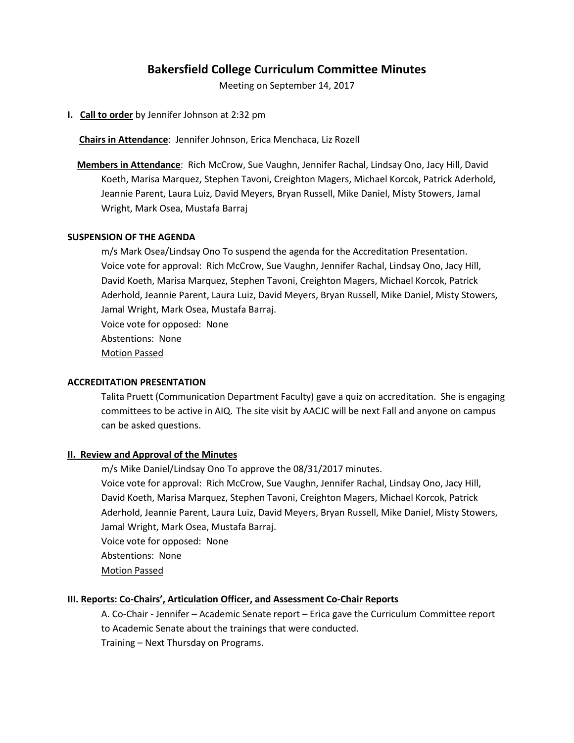# **Bakersfield College Curriculum Committee Minutes**

Meeting on September 14, 2017

**I. Call to order** by Jennifer Johnson at 2:32 pm

 **Chairs in Attendance**: Jennifer Johnson, Erica Menchaca, Liz Rozell

 **Members in Attendance**: Rich McCrow, Sue Vaughn, Jennifer Rachal, Lindsay Ono, Jacy Hill, David Koeth, Marisa Marquez, Stephen Tavoni, Creighton Magers, Michael Korcok, Patrick Aderhold, Jeannie Parent, Laura Luiz, David Meyers, Bryan Russell, Mike Daniel, Misty Stowers, Jamal Wright, Mark Osea, Mustafa Barraj

#### **SUSPENSION OF THE AGENDA**

m/s Mark Osea/Lindsay Ono To suspend the agenda for the Accreditation Presentation. Voice vote for approval: Rich McCrow, Sue Vaughn, Jennifer Rachal, Lindsay Ono, Jacy Hill, David Koeth, Marisa Marquez, Stephen Tavoni, Creighton Magers, Michael Korcok, Patrick Aderhold, Jeannie Parent, Laura Luiz, David Meyers, Bryan Russell, Mike Daniel, Misty Stowers, Jamal Wright, Mark Osea, Mustafa Barraj. Voice vote for opposed: None Abstentions: None Motion Passed

#### **ACCREDITATION PRESENTATION**

Talita Pruett (Communication Department Faculty) gave a quiz on accreditation. She is engaging committees to be active in AIQ. The site visit by AACJC will be next Fall and anyone on campus can be asked questions.

#### **II. Review and Approval of the Minutes**

m/s Mike Daniel/Lindsay Ono To approve the 08/31/2017 minutes. Voice vote for approval: Rich McCrow, Sue Vaughn, Jennifer Rachal, Lindsay Ono, Jacy Hill, David Koeth, Marisa Marquez, Stephen Tavoni, Creighton Magers, Michael Korcok, Patrick Aderhold, Jeannie Parent, Laura Luiz, David Meyers, Bryan Russell, Mike Daniel, Misty Stowers, Jamal Wright, Mark Osea, Mustafa Barraj.

Voice vote for opposed: None

Abstentions: None

Motion Passed

#### **III. Reports: Co-Chairs', Articulation Officer, and Assessment Co-Chair Reports**

A. Co-Chair - Jennifer – Academic Senate report – Erica gave the Curriculum Committee report to Academic Senate about the trainings that were conducted. Training – Next Thursday on Programs.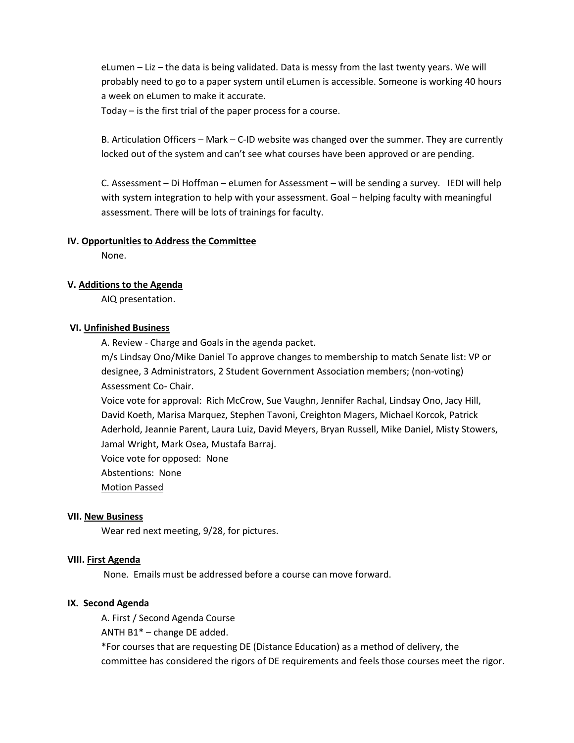eLumen – Liz – the data is being validated. Data is messy from the last twenty years. We will probably need to go to a paper system until eLumen is accessible. Someone is working 40 hours a week on eLumen to make it accurate.

Today – is the first trial of the paper process for a course.

B. Articulation Officers – Mark – C-ID website was changed over the summer. They are currently locked out of the system and can't see what courses have been approved or are pending.

C. Assessment – Di Hoffman – eLumen for Assessment – will be sending a survey. IEDI will help with system integration to help with your assessment. Goal – helping faculty with meaningful assessment. There will be lots of trainings for faculty.

#### **IV. Opportunities to Address the Committee**

None.

### **V. Additions to the Agenda**

AIQ presentation.

#### **VI. Unfinished Business**

A. Review - Charge and Goals in the agenda packet.

m/s Lindsay Ono/Mike Daniel To approve changes to membership to match Senate list: VP or designee, 3 Administrators, 2 Student Government Association members; (non-voting) Assessment Co- Chair.

Voice vote for approval: Rich McCrow, Sue Vaughn, Jennifer Rachal, Lindsay Ono, Jacy Hill, David Koeth, Marisa Marquez, Stephen Tavoni, Creighton Magers, Michael Korcok, Patrick Aderhold, Jeannie Parent, Laura Luiz, David Meyers, Bryan Russell, Mike Daniel, Misty Stowers, Jamal Wright, Mark Osea, Mustafa Barraj.

Voice vote for opposed: None

Abstentions: None

Motion Passed

#### **VII. New Business**

Wear red next meeting, 9/28, for pictures.

#### **VIII. First Agenda**

None. Emails must be addressed before a course can move forward.

## **IX. Second Agenda**

A. First / Second Agenda Course

ANTH B1\* – change DE added.

\*For courses that are requesting DE (Distance Education) as a method of delivery, the committee has considered the rigors of DE requirements and feels those courses meet the rigor.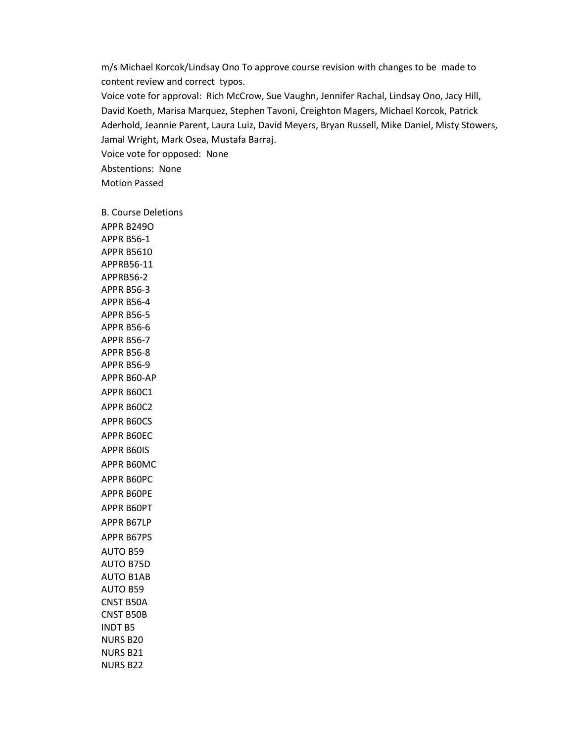m/s Michael Korcok/Lindsay Ono To approve course revision with changes to be made to content review and correct typos. Voice vote for approval: Rich McCrow, Sue Vaughn, Jennifer Rachal, Lindsay Ono, Jacy Hill, David Koeth, Marisa Marquez, Stephen Tavoni, Creighton Magers, Michael Korcok, Patrick Aderhold, Jeannie Parent, Laura Luiz, David Meyers, Bryan Russell, Mike Daniel, Misty Stowers, Jamal Wright, Mark Osea, Mustafa Barraj. Voice vote for opposed: None Abstentions: None

B. Course Deletions APPR B249O APPR B56-1 APPR B5610 APPRB56-11 APPRB56-2 APPR B56-3 APPR B56-4 APPR B56-5 APPR B56-6 APPR B56-7 APPR B56-8 APPR B56-9 APPR B60-AP APPR B60C1 APPR B60C2 APPR B60CS APPR B60EC APPR B60IS APPR B60MC APPR B60PC APPR B60PE APPR B60PT APPR B67LP APPR B67PS AUTO B59 AUTO B75D AUTO B1AB AUTO B59 CNST B50A CNST B50B INDT B5 NURS B20 NURS B21

NURS B22

Motion Passed